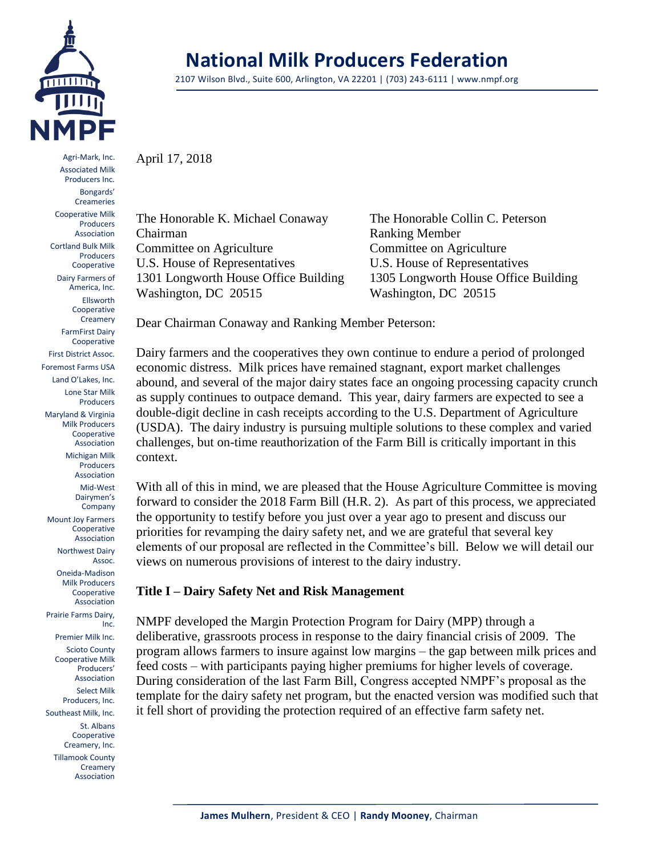

Agri-Mark, Inc. Associated Milk Producers Inc. Bongards' Creameries Cooperative Milk Producers Association Cortland Bulk Milk Producers Cooperative Dairy Farmers of America, Inc. Ellsworth Cooperative Creamery FarmFirst Dairy Cooperative First District Assoc. Foremost Farms USA Land O'Lakes, Inc. Lone Star Milk Producers Maryland & Virginia Milk Producers Cooperative Association Michigan Milk Producers Association Mid-West Dairymen's Company Mount Joy Farmers Cooperative Association Northwest Dairy Assoc. Oneida-Madison Milk Producers Cooperative Association Prairie Farms Dairy, Inc. Premier Milk Inc.

Scioto County Cooperative Milk Producers' Association Select Milk Producers, Inc. Southeast Milk, Inc. St. Albans Cooperative

Creamery, Inc. Tillamook County **Creamery** Association

# **National Milk Producers Federation**

2107 Wilson Blvd., Suite 600, Arlington, VA 22201 | (703) 243-6111 | www.nmpf.org

April 17, 2018

The Honorable K. Michael Conaway The Honorable Collin C. Peterson Chairman Ranking Member Committee on Agriculture Committee on Agriculture U.S. House of Representatives U.S. House of Representatives 1301 Longworth House Office Building 1305 Longworth House Office Building Washington, DC 20515 Washington, DC 20515

Dear Chairman Conaway and Ranking Member Peterson:

Dairy farmers and the cooperatives they own continue to endure a period of prolonged economic distress. Milk prices have remained stagnant, export market challenges abound, and several of the major dairy states face an ongoing processing capacity crunch as supply continues to outpace demand. This year, dairy farmers are expected to see a double-digit decline in cash receipts according to the U.S. Department of Agriculture (USDA). The dairy industry is pursuing multiple solutions to these complex and varied challenges, but on-time reauthorization of the Farm Bill is critically important in this context.

With all of this in mind, we are pleased that the House Agriculture Committee is moving forward to consider the 2018 Farm Bill (H.R. 2). As part of this process, we appreciated the opportunity to testify before you just over a year ago to present and discuss our priorities for revamping the dairy safety net, and we are grateful that several key elements of our proposal are reflected in the Committee's bill. Below we will detail our views on numerous provisions of interest to the dairy industry.

## **Title I – Dairy Safety Net and Risk Management**

NMPF developed the Margin Protection Program for Dairy (MPP) through a deliberative, grassroots process in response to the dairy financial crisis of 2009. The program allows farmers to insure against low margins – the gap between milk prices and feed costs – with participants paying higher premiums for higher levels of coverage. During consideration of the last Farm Bill, Congress accepted NMPF's proposal as the template for the dairy safety net program, but the enacted version was modified such that it fell short of providing the protection required of an effective farm safety net.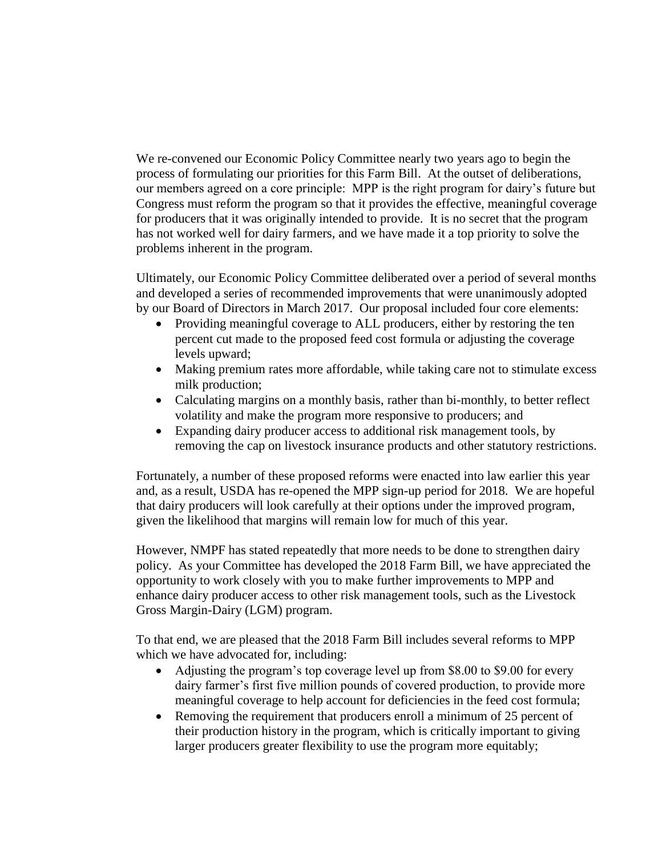We re-convened our Economic Policy Committee nearly two years ago to begin the process of formulating our priorities for this Farm Bill. At the outset of deliberations, our members agreed on a core principle: MPP is the right program for dairy's future but Congress must reform the program so that it provides the effective, meaningful coverage for producers that it was originally intended to provide. It is no secret that the program has not worked well for dairy farmers, and we have made it a top priority to solve the problems inherent in the program.

Ultimately, our Economic Policy Committee deliberated over a period of several months and developed a series of recommended improvements that were unanimously adopted by our Board of Directors in March 2017. Our proposal included four core elements:

- Providing meaningful coverage to ALL producers, either by restoring the ten percent cut made to the proposed feed cost formula or adjusting the coverage levels upward;
- Making premium rates more affordable, while taking care not to stimulate excess milk production;
- Calculating margins on a monthly basis, rather than bi-monthly, to better reflect volatility and make the program more responsive to producers; and
- Expanding dairy producer access to additional risk management tools, by removing the cap on livestock insurance products and other statutory restrictions.

Fortunately, a number of these proposed reforms were enacted into law earlier this year and, as a result, USDA has re-opened the MPP sign-up period for 2018. We are hopeful that dairy producers will look carefully at their options under the improved program, given the likelihood that margins will remain low for much of this year.

However, NMPF has stated repeatedly that more needs to be done to strengthen dairy policy. As your Committee has developed the 2018 Farm Bill, we have appreciated the opportunity to work closely with you to make further improvements to MPP and enhance dairy producer access to other risk management tools, such as the Livestock Gross Margin-Dairy (LGM) program.

To that end, we are pleased that the 2018 Farm Bill includes several reforms to MPP which we have advocated for, including:

- Adjusting the program's top coverage level up from \$8.00 to \$9.00 for every dairy farmer's first five million pounds of covered production, to provide more meaningful coverage to help account for deficiencies in the feed cost formula;
- Removing the requirement that producers enroll a minimum of 25 percent of their production history in the program, which is critically important to giving larger producers greater flexibility to use the program more equitably;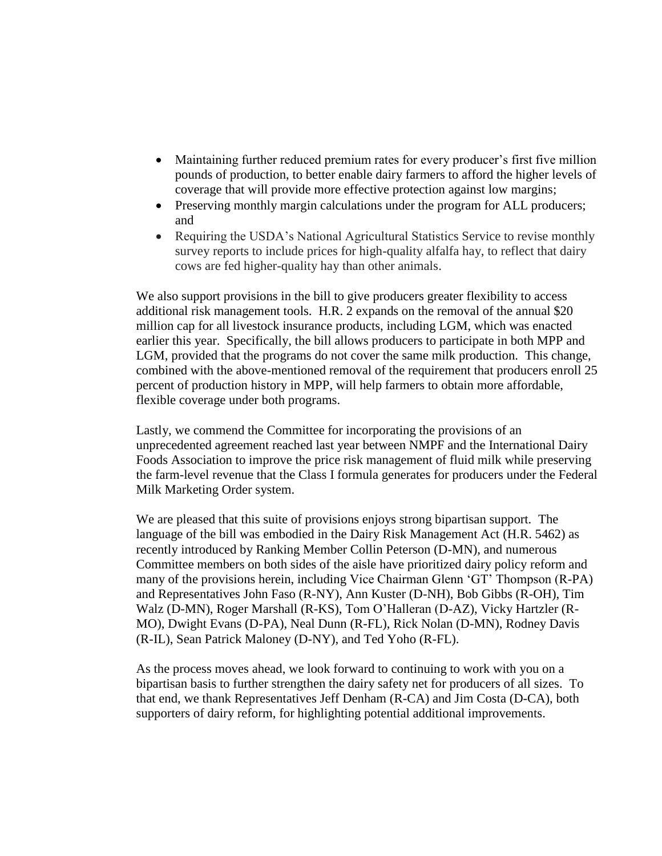- Maintaining further reduced premium rates for every producer's first five million pounds of production, to better enable dairy farmers to afford the higher levels of coverage that will provide more effective protection against low margins;
- Preserving monthly margin calculations under the program for ALL producers; and
- Requiring the USDA's National Agricultural Statistics Service to revise monthly survey reports to include prices for high-quality alfalfa hay, to reflect that dairy cows are fed higher-quality hay than other animals.

We also support provisions in the bill to give producers greater flexibility to access additional risk management tools. H.R. 2 expands on the removal of the annual \$20 million cap for all livestock insurance products, including LGM, which was enacted earlier this year. Specifically, the bill allows producers to participate in both MPP and LGM, provided that the programs do not cover the same milk production. This change, combined with the above-mentioned removal of the requirement that producers enroll 25 percent of production history in MPP, will help farmers to obtain more affordable, flexible coverage under both programs.

Lastly, we commend the Committee for incorporating the provisions of an unprecedented agreement reached last year between NMPF and the International Dairy Foods Association to improve the price risk management of fluid milk while preserving the farm-level revenue that the Class I formula generates for producers under the Federal Milk Marketing Order system.

We are pleased that this suite of provisions enjoys strong bipartisan support. The language of the bill was embodied in the Dairy Risk Management Act (H.R. 5462) as recently introduced by Ranking Member Collin Peterson (D-MN), and numerous Committee members on both sides of the aisle have prioritized dairy policy reform and many of the provisions herein, including Vice Chairman Glenn 'GT' Thompson (R-PA) and Representatives John Faso (R-NY), Ann Kuster (D-NH), Bob Gibbs (R-OH), Tim Walz (D-MN), Roger Marshall (R-KS), Tom O'Halleran (D-AZ), Vicky Hartzler (R-MO), Dwight Evans (D-PA), Neal Dunn (R-FL), Rick Nolan (D-MN), Rodney Davis (R-IL), Sean Patrick Maloney (D-NY), and Ted Yoho (R-FL).

As the process moves ahead, we look forward to continuing to work with you on a bipartisan basis to further strengthen the dairy safety net for producers of all sizes. To that end, we thank Representatives Jeff Denham (R-CA) and Jim Costa (D-CA), both supporters of dairy reform, for highlighting potential additional improvements.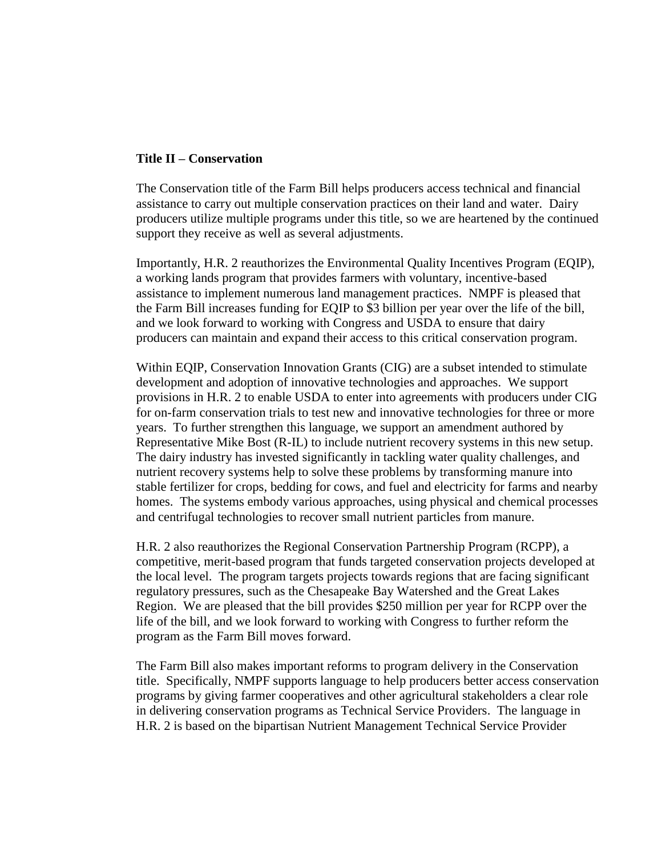### **Title II – Conservation**

The Conservation title of the Farm Bill helps producers access technical and financial assistance to carry out multiple conservation practices on their land and water. Dairy producers utilize multiple programs under this title, so we are heartened by the continued support they receive as well as several adjustments.

Importantly, H.R. 2 reauthorizes the Environmental Quality Incentives Program (EQIP), a working lands program that provides farmers with voluntary, incentive-based assistance to implement numerous land management practices. NMPF is pleased that the Farm Bill increases funding for EQIP to \$3 billion per year over the life of the bill, and we look forward to working with Congress and USDA to ensure that dairy producers can maintain and expand their access to this critical conservation program.

Within EQIP, Conservation Innovation Grants (CIG) are a subset intended to stimulate development and adoption of innovative technologies and approaches. We support provisions in H.R. 2 to enable USDA to enter into agreements with producers under CIG for on-farm conservation trials to test new and innovative technologies for three or more years. To further strengthen this language, we support an amendment authored by Representative Mike Bost (R-IL) to include nutrient recovery systems in this new setup. The dairy industry has invested significantly in tackling water quality challenges, and nutrient recovery systems help to solve these problems by transforming manure into stable fertilizer for crops, bedding for cows, and fuel and electricity for farms and nearby homes. The systems embody various approaches, using physical and chemical processes and centrifugal technologies to recover small nutrient particles from manure.

H.R. 2 also reauthorizes the Regional Conservation Partnership Program (RCPP), a competitive, merit-based program that funds targeted conservation projects developed at the local level. The program targets projects towards regions that are facing significant regulatory pressures, such as the Chesapeake Bay Watershed and the Great Lakes Region. We are pleased that the bill provides \$250 million per year for RCPP over the life of the bill, and we look forward to working with Congress to further reform the program as the Farm Bill moves forward.

The Farm Bill also makes important reforms to program delivery in the Conservation title. Specifically, NMPF supports language to help producers better access conservation programs by giving farmer cooperatives and other agricultural stakeholders a clear role in delivering conservation programs as Technical Service Providers. The language in H.R. 2 is based on the bipartisan Nutrient Management Technical Service Provider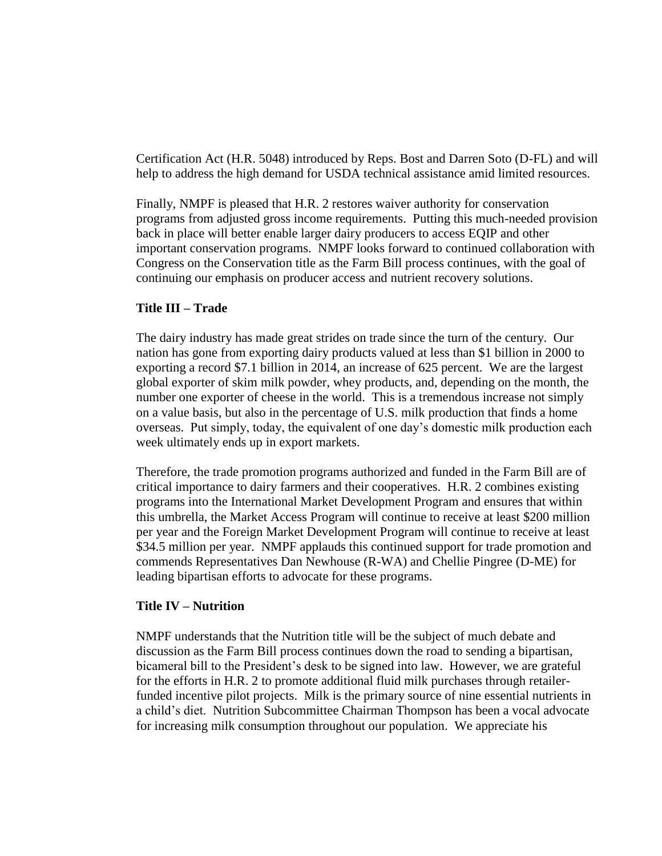Certification Act (H.R. 5048) introduced by Reps. Bost and Darren Soto (D-FL) and will help to address the high demand for USDA technical assistance amid limited resources.

Finally, NMPF is pleased that H.R. 2 restores waiver authority for conservation programs from adjusted gross income requirements. Putting this much-needed provision back in place will better enable larger dairy producers to access EQIP and other important conservation programs. NMPF looks forward to continued collaboration with Congress on the Conservation title as the Farm Bill process continues, with the goal of continuing our emphasis on producer access and nutrient recovery solutions.

### **Title III – Trade**

The dairy industry has made great strides on trade since the turn of the century. Our nation has gone from exporting dairy products valued at less than \$1 billion in 2000 to exporting a record \$7.1 billion in 2014, an increase of 625 percent. We are the largest global exporter of skim milk powder, whey products, and, depending on the month, the number one exporter of cheese in the world. This is a tremendous increase not simply on a value basis, but also in the percentage of U.S. milk production that finds a home overseas. Put simply, today, the equivalent of one day's domestic milk production each week ultimately ends up in export markets.

Therefore, the trade promotion programs authorized and funded in the Farm Bill are of critical importance to dairy farmers and their cooperatives. H.R. 2 combines existing programs into the International Market Development Program and ensures that within this umbrella, the Market Access Program will continue to receive at least \$200 million per year and the Foreign Market Development Program will continue to receive at least \$34.5 million per year. NMPF applauds this continued support for trade promotion and commends Representatives Dan Newhouse (R-WA) and Chellie Pingree (D-ME) for leading bipartisan efforts to advocate for these programs.

## **Title IV – Nutrition**

NMPF understands that the Nutrition title will be the subject of much debate and discussion as the Farm Bill process continues down the road to sending a bipartisan, bicameral bill to the President's desk to be signed into law. However, we are grateful for the efforts in H.R. 2 to promote additional fluid milk purchases through retailerfunded incentive pilot projects. Milk is the primary source of nine essential nutrients in a child's diet. Nutrition Subcommittee Chairman Thompson has been a vocal advocate for increasing milk consumption throughout our population. We appreciate his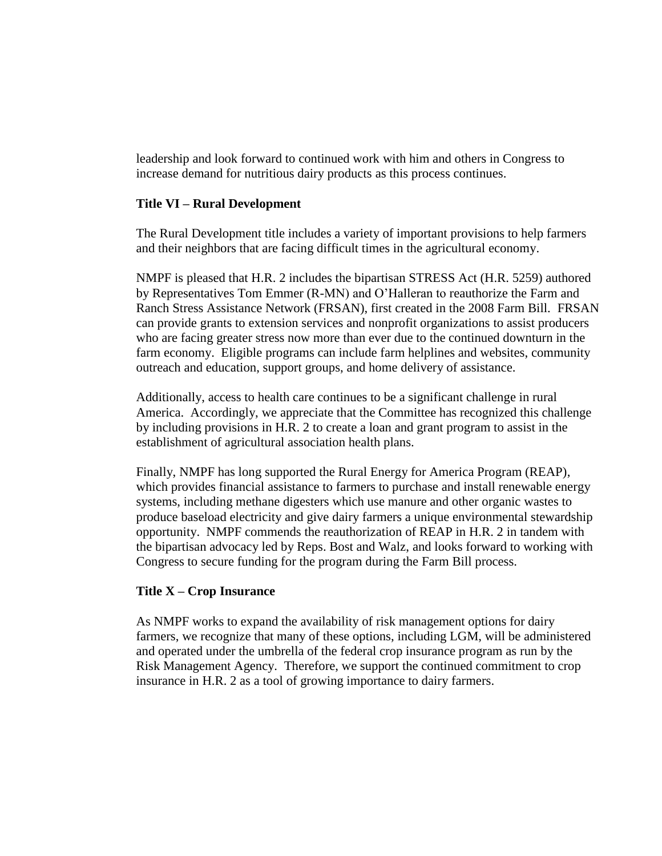leadership and look forward to continued work with him and others in Congress to increase demand for nutritious dairy products as this process continues.

## **Title VI – Rural Development**

The Rural Development title includes a variety of important provisions to help farmers and their neighbors that are facing difficult times in the agricultural economy.

NMPF is pleased that H.R. 2 includes the bipartisan STRESS Act (H.R. 5259) authored by Representatives Tom Emmer (R-MN) and O'Halleran to reauthorize the Farm and Ranch Stress Assistance Network (FRSAN), first created in the 2008 Farm Bill. FRSAN can provide grants to extension services and nonprofit organizations to assist producers who are facing greater stress now more than ever due to the continued downturn in the farm economy. Eligible programs can include farm helplines and websites, community outreach and education, support groups, and home delivery of assistance.

Additionally, access to health care continues to be a significant challenge in rural America. Accordingly, we appreciate that the Committee has recognized this challenge by including provisions in H.R. 2 to create a loan and grant program to assist in the establishment of agricultural association health plans.

Finally, NMPF has long supported the Rural Energy for America Program (REAP), which provides financial assistance to farmers to purchase and install renewable energy systems, including methane digesters which use manure and other organic wastes to produce baseload electricity and give dairy farmers a unique environmental stewardship opportunity. NMPF commends the reauthorization of REAP in H.R. 2 in tandem with the bipartisan advocacy led by Reps. Bost and Walz, and looks forward to working with Congress to secure funding for the program during the Farm Bill process.

## **Title X – Crop Insurance**

As NMPF works to expand the availability of risk management options for dairy farmers, we recognize that many of these options, including LGM, will be administered and operated under the umbrella of the federal crop insurance program as run by the Risk Management Agency. Therefore, we support the continued commitment to crop insurance in H.R. 2 as a tool of growing importance to dairy farmers.